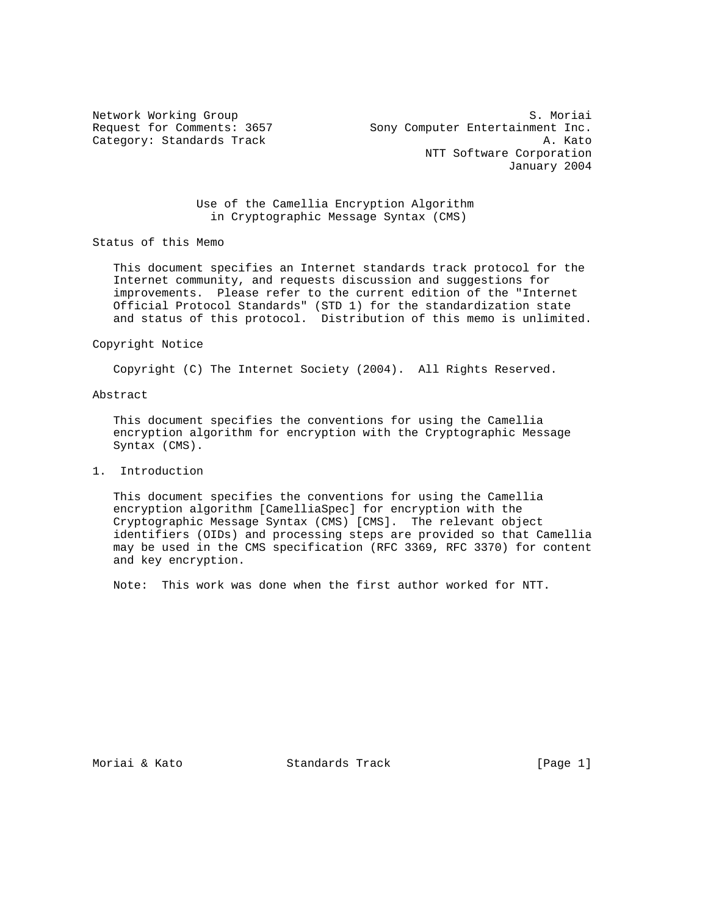Category: Standards Track

Network Working Group<br>Request for Comments: 3657 Sony Computer Entertainment Inc. Sony Computer Entertainment Inc.<br>A. Kato NTT Software Corporation January 2004

> Use of the Camellia Encryption Algorithm in Cryptographic Message Syntax (CMS)

Status of this Memo

 This document specifies an Internet standards track protocol for the Internet community, and requests discussion and suggestions for improvements. Please refer to the current edition of the "Internet Official Protocol Standards" (STD 1) for the standardization state and status of this protocol. Distribution of this memo is unlimited.

#### Copyright Notice

Copyright (C) The Internet Society (2004). All Rights Reserved.

## Abstract

 This document specifies the conventions for using the Camellia encryption algorithm for encryption with the Cryptographic Message Syntax (CMS).

## 1. Introduction

 This document specifies the conventions for using the Camellia encryption algorithm [CamelliaSpec] for encryption with the Cryptographic Message Syntax (CMS) [CMS]. The relevant object identifiers (OIDs) and processing steps are provided so that Camellia may be used in the CMS specification (RFC 3369, RFC 3370) for content and key encryption.

Note: This work was done when the first author worked for NTT.

Moriai & Kato Standards Track [Page 1]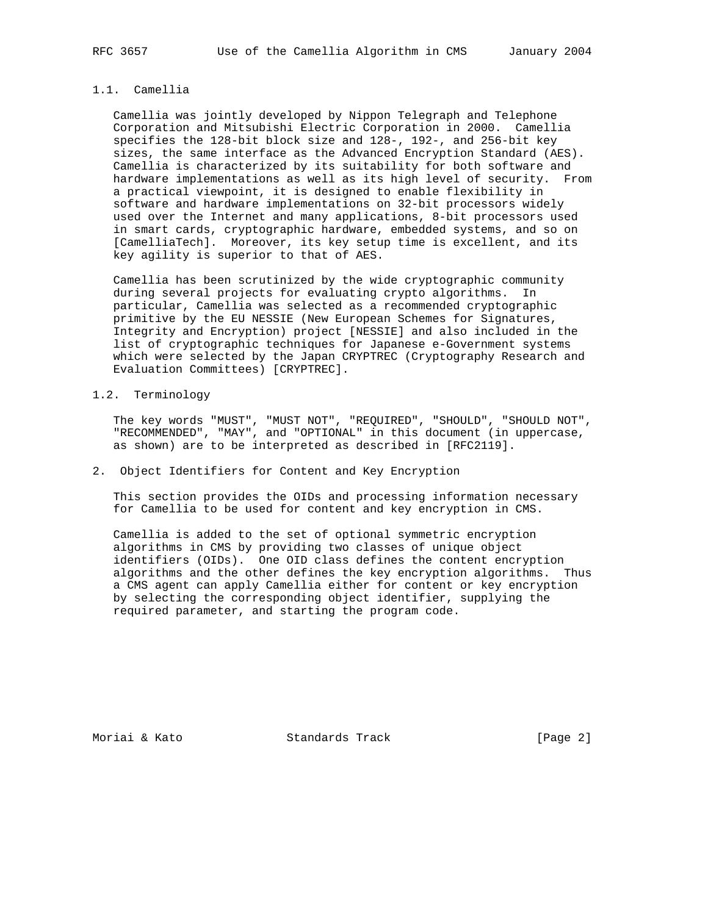### 1.1. Camellia

 Camellia was jointly developed by Nippon Telegraph and Telephone Corporation and Mitsubishi Electric Corporation in 2000. Camellia specifies the 128-bit block size and 128-, 192-, and 256-bit key sizes, the same interface as the Advanced Encryption Standard (AES). Camellia is characterized by its suitability for both software and hardware implementations as well as its high level of security. From a practical viewpoint, it is designed to enable flexibility in software and hardware implementations on 32-bit processors widely used over the Internet and many applications, 8-bit processors used in smart cards, cryptographic hardware, embedded systems, and so on [CamelliaTech]. Moreover, its key setup time is excellent, and its key agility is superior to that of AES.

 Camellia has been scrutinized by the wide cryptographic community during several projects for evaluating crypto algorithms. In particular, Camellia was selected as a recommended cryptographic primitive by the EU NESSIE (New European Schemes for Signatures, Integrity and Encryption) project [NESSIE] and also included in the list of cryptographic techniques for Japanese e-Government systems which were selected by the Japan CRYPTREC (Cryptography Research and Evaluation Committees) [CRYPTREC].

### 1.2. Terminology

 The key words "MUST", "MUST NOT", "REQUIRED", "SHOULD", "SHOULD NOT", "RECOMMENDED", "MAY", and "OPTIONAL" in this document (in uppercase, as shown) are to be interpreted as described in [RFC2119].

### 2. Object Identifiers for Content and Key Encryption

 This section provides the OIDs and processing information necessary for Camellia to be used for content and key encryption in CMS.

 Camellia is added to the set of optional symmetric encryption algorithms in CMS by providing two classes of unique object identifiers (OIDs). One OID class defines the content encryption algorithms and the other defines the key encryption algorithms. Thus a CMS agent can apply Camellia either for content or key encryption by selecting the corresponding object identifier, supplying the required parameter, and starting the program code.

Moriai & Kato Standards Track [Page 2]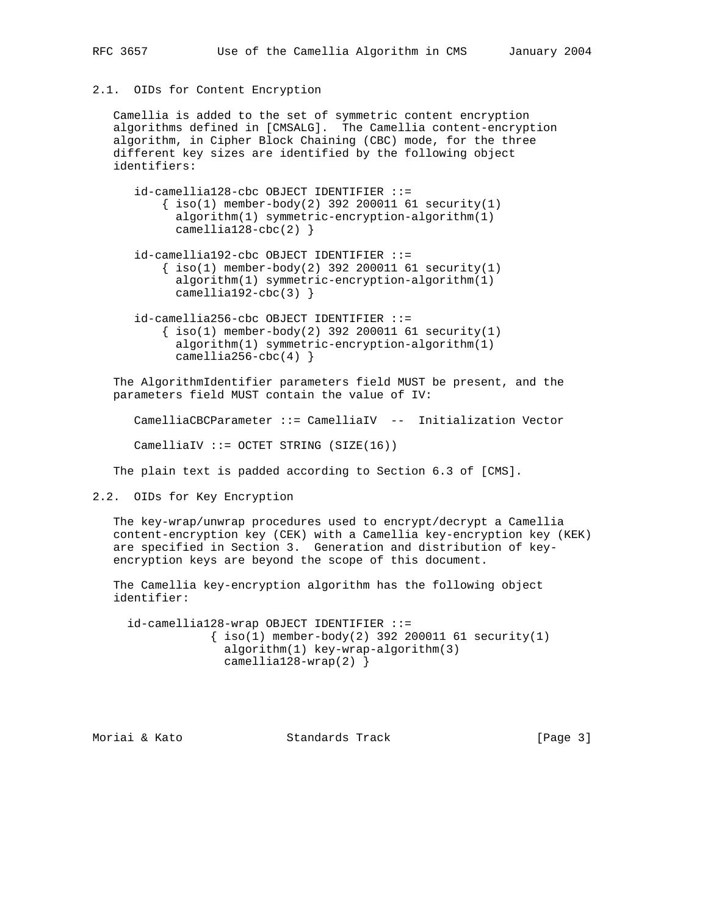#### 2.1. OIDs for Content Encryption

 Camellia is added to the set of symmetric content encryption algorithms defined in [CMSALG]. The Camellia content-encryption algorithm, in Cipher Block Chaining (CBC) mode, for the three different key sizes are identified by the following object identifiers:

- id-camellia128-cbc OBJECT IDENTIFIER ::=  $\{ iso(1) member-body(2) 392 200011 61 security(1)$  algorithm(1) symmetric-encryption-algorithm(1) camellia128-cbc(2) }
- id-camellia192-cbc OBJECT IDENTIFIER ::=  $\{ iso(1)$  member-body(2) 392 200011 61 security(1) algorithm(1) symmetric-encryption-algorithm(1) camellia192-cbc(3)  $\}$
- id-camellia256-cbc OBJECT IDENTIFIER ::=  $\{\text{iso}(1) \text{ member-body}(2) \text{ 392 } 200011 \text{ 61 security}(1)$  algorithm(1) symmetric-encryption-algorithm(1) camellia256-cbc(4)  $}$

 The AlgorithmIdentifier parameters field MUST be present, and the parameters field MUST contain the value of IV:

CamelliaCBCParameter ::= CamelliaIV -- Initialization Vector

CamelliaIV ::= OCTET STRING  $(SIZE(16))$ 

The plain text is padded according to Section 6.3 of [CMS].

2.2. OIDs for Key Encryption

 The key-wrap/unwrap procedures used to encrypt/decrypt a Camellia content-encryption key (CEK) with a Camellia key-encryption key (KEK) are specified in Section 3. Generation and distribution of key encryption keys are beyond the scope of this document.

 The Camellia key-encryption algorithm has the following object identifier:

 id-camellia128-wrap OBJECT IDENTIFIER ::=  $\{ iso(1)$  member-body(2) 392 200011 61 security(1) algorithm(1) key-wrap-algorithm(3) camellia128-wrap(2) }

Moriai & Kato Standards Track [Page 3]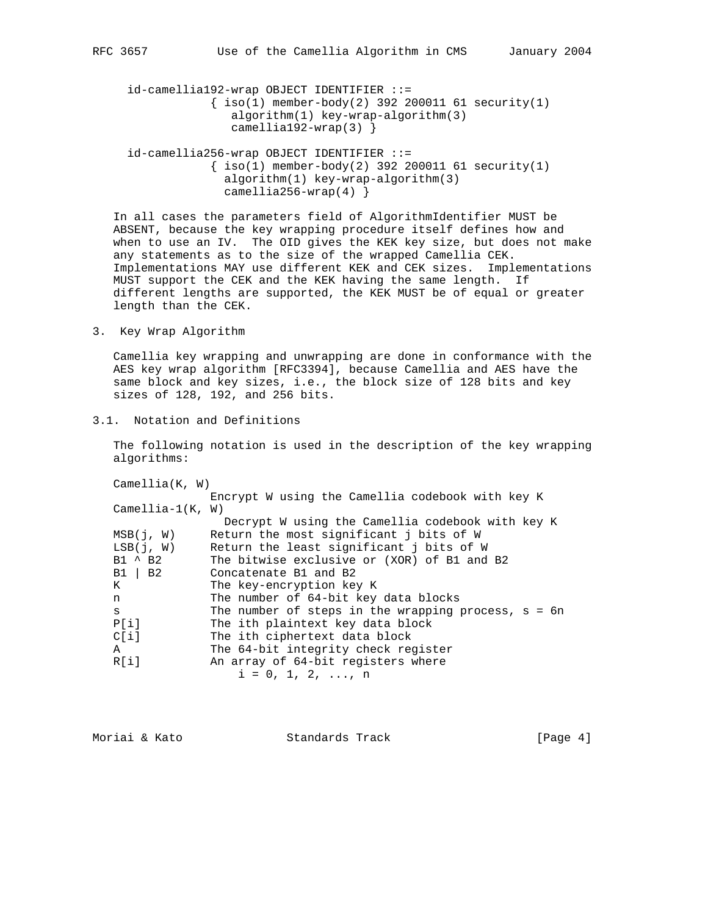id-camellia192-wrap OBJECT IDENTIFIER ::=  $\{ iso(1)$  member-body(2) 392 200011 61 security(1) algorithm(1) key-wrap-algorithm(3) camellia192-wrap(3) }

 id-camellia256-wrap OBJECT IDENTIFIER ::=  $\{ iso(1)$  member-body(2) 392 200011 61 security(1) algorithm(1) key-wrap-algorithm(3) camellia256-wrap(4) }

 In all cases the parameters field of AlgorithmIdentifier MUST be ABSENT, because the key wrapping procedure itself defines how and when to use an IV. The OID gives the KEK key size, but does not make any statements as to the size of the wrapped Camellia CEK. Implementations MAY use different KEK and CEK sizes. Implementations MUST support the CEK and the KEK having the same length. If different lengths are supported, the KEK MUST be of equal or greater length than the CEK.

3. Key Wrap Algorithm

 Camellia key wrapping and unwrapping are done in conformance with the AES key wrap algorithm [RFC3394], because Camellia and AES have the same block and key sizes, i.e., the block size of 128 bits and key sizes of 128, 192, and 256 bits.

3.1. Notation and Definitions

 The following notation is used in the description of the key wrapping algorithms:

| Camellia(K, W)     |                                                       |
|--------------------|-------------------------------------------------------|
|                    | Encrypt W using the Camellia codebook with key K      |
| $Camellia-1(K, W)$ |                                                       |
|                    | Decrypt W using the Camellia codebook with key K      |
| MSB(j, W)          | Return the most significant i bits of W               |
| LSB(i, W)          | Return the least significant i bits of W              |
| $B1 \wedge B2$     | The bitwise exclusive or (XOR) of B1 and B2           |
| $B1 \mid B2$       | Concatenate B1 and B2                                 |
| K                  | The key-encryption key K                              |
| n                  | The number of 64-bit key data blocks                  |
| S                  | The number of steps in the wrapping process, $s = 6n$ |
| P[i]               | The ith plaintext key data block                      |
| CI11               | The ith ciphertext data block                         |
| A                  | The 64-bit integrity check register                   |
| R[i]               | An array of 64-bit registers where                    |
|                    | $i = 0, 1, 2, \ldots, n$                              |
|                    |                                                       |

| Moriai & Kato | Standards Track | [Page $4$ ] |  |
|---------------|-----------------|-------------|--|
|               |                 |             |  |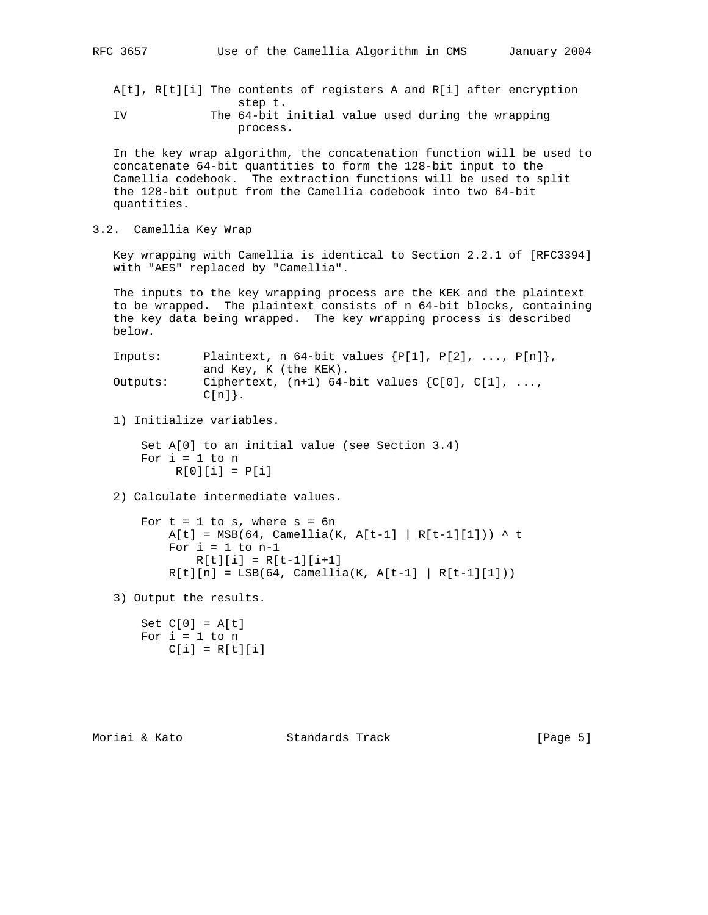A[t], R[t][i] The contents of registers A and R[i] after encryption step t. IV The 64-bit initial value used during the wrapping process.

 In the key wrap algorithm, the concatenation function will be used to concatenate 64-bit quantities to form the 128-bit input to the Camellia codebook. The extraction functions will be used to split the 128-bit output from the Camellia codebook into two 64-bit quantities.

3.2. Camellia Key Wrap

 Key wrapping with Camellia is identical to Section 2.2.1 of [RFC3394] with "AES" replaced by "Camellia".

 The inputs to the key wrapping process are the KEK and the plaintext to be wrapped. The plaintext consists of n 64-bit blocks, containing the key data being wrapped. The key wrapping process is described below.

 Inputs: Plaintext, n 64-bit values {P[1], P[2], ..., P[n]}, and Key, K (the KEK). Outputs: Ciphertext,  $(n+1)$  64-bit values  $\{C[0], C[1], \ldots, C\}$  $C[n]$ .

1) Initialize variables.

```
 Set A[0] to an initial value (see Section 3.4)
For i = 1 to n
    R[0][i] = P[i]
```
2) Calculate intermediate values.

```
For t = 1 to s, where s = 6nA[t] = MSB(64, Camellia(K, A[t-1] | R[t-1][1])) ^ t
    For i = 1 to n-1R[t][i] = R[t-1][i+1]R[t][n] = LSB(64, Camellia(K, A[t-1] | R[t-1][1]))
```
3) Output the results.

Set  $C[0] = A[t]$ For  $i = 1$  to  $n$  $C[i] = R[t][i]$ 

Moriai & Kato Standards Track [Page 5]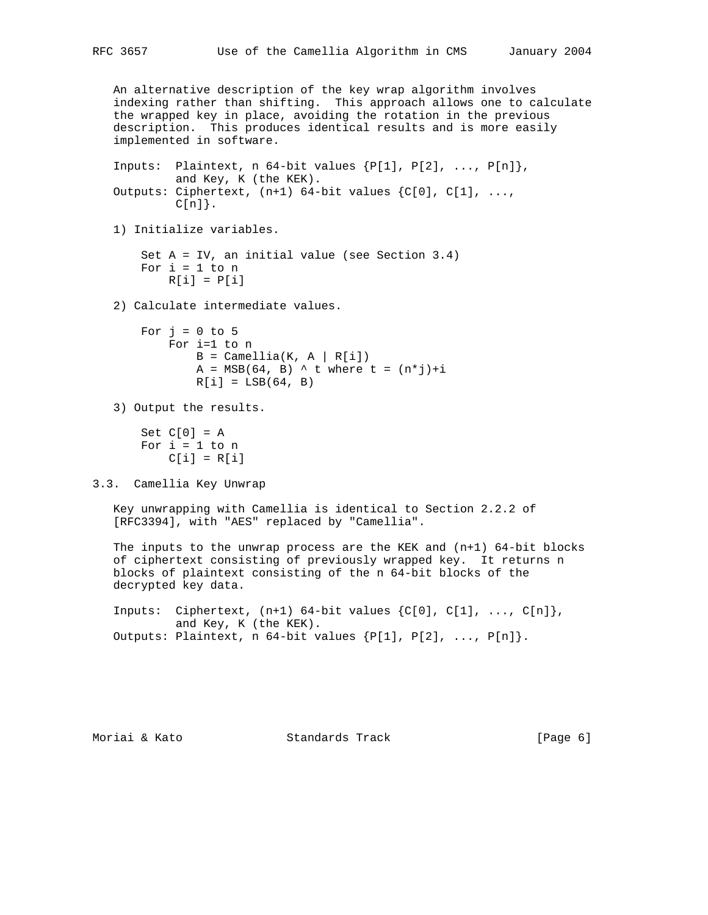```
 An alternative description of the key wrap algorithm involves
    indexing rather than shifting. This approach allows one to calculate
    the wrapped key in place, avoiding the rotation in the previous
    description. This produces identical results and is more easily
    implemented in software.
   Inputs: Plaintext, n 64-bit values \{P[1], P[2], \ldots, P[n]\},\ and Key, K (the KEK).
   Outputs: Ciphertext, (n+1) 64-bit values \{C[0], C[1], \ldotsC[n].
    1) Initialize variables.
        Set A = IV, an initial value (see Section 3.4)
       For i = 1 to n
           R[i] = P[i] 2) Calculate intermediate values.
       For j = 0 to 5
            For i=1 to n
               B = Camellia(K, A | R[i])
               A = MSB(64, B) ^ t where t = (n * j) + iR[i] = LSB(64, B) 3) Output the results.
       Set C[0] = AFor i = 1 to nC[i] = R[i]3.3. Camellia Key Unwrap
   Key unwrapping with Camellia is identical to Section 2.2.2 of
    [RFC3394], with "AES" replaced by "Camellia".
    The inputs to the unwrap process are the KEK and (n+1) 64-bit blocks
    of ciphertext consisting of previously wrapped key. It returns n
   blocks of plaintext consisting of the n 64-bit blocks of the
   decrypted key data.
   Inputs: Ciphertext, (n+1) 64-bit values \{C[0], C[1], \ldots, C[n]\}, and Key, K (the KEK).
   Outputs: Plaintext, n 64-bit values \{P[1], P[2], \ldots, P[n]\}.
```
Moriai & Kato Standards Track [Page 6]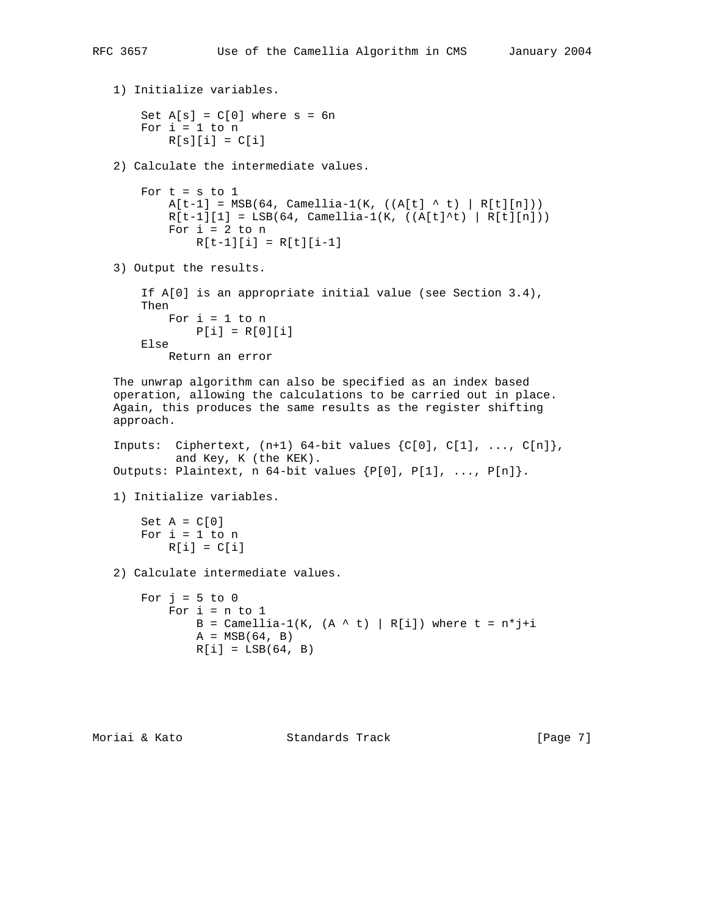```
 1) Initialize variables.
    Set A[s] = C[0] where s = 6nFor i = 1 to n
        R[s][i] = C[i] 2) Calculate the intermediate values.
    For t = s to 1A[t-1] = MSB(64, Camellia-1(K, ((A[t] ^ t) | R[t][n]))R[t-1][1] = LSB(64, Camellia-1(K, ((A[t]^t), [R[t][n]))For i = 2 to n
            R[t-1][i] = R[t][i-1] 3) Output the results.
     If A[0] is an appropriate initial value (see Section 3.4),
     Then
        For i = 1 to n
          P[i] = R[0][i] Else
         Return an error
 The unwrap algorithm can also be specified as an index based
 operation, allowing the calculations to be carried out in place.
 Again, this produces the same results as the register shifting
 approach.
Inputs: Ciphertext, (n+1) 64-bit values \{C[0], C[1], \ldots, C[n]\}, and Key, K (the KEK).
Outputs: Plaintext, n \cdot 64-bit values \{P[0], P[1], \ldots, P[n]\}. 1) Initialize variables.
   Set A = C[0]For i = 1 to n
        R[i] = C[i] 2) Calculate intermediate values.
   For j = 5 to 0For i = n to 1B = Camellia-1(K, (A \land t) | R[i]) where t = n * j + iA = MSB(64, B)R[i] = LSB(64, B)
```
Moriai & Kato Standards Track [Page 7]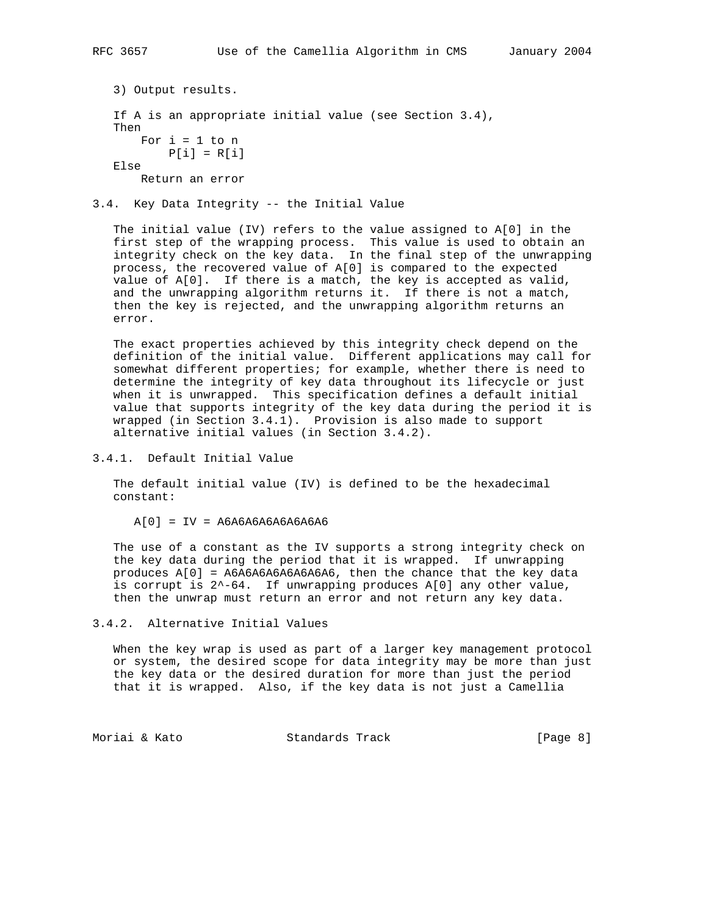```
 3) Output results.
 If A is an appropriate initial value (see Section 3.4),
 Then
   For i = 1 to n
     P[i] = R[i] Else
    Return an error
```
3.4. Key Data Integrity -- the Initial Value

 The initial value (IV) refers to the value assigned to A[0] in the first step of the wrapping process. This value is used to obtain an integrity check on the key data. In the final step of the unwrapping process, the recovered value of A[0] is compared to the expected value of A[0]. If there is a match, the key is accepted as valid, and the unwrapping algorithm returns it. If there is not a match, then the key is rejected, and the unwrapping algorithm returns an error.

 The exact properties achieved by this integrity check depend on the definition of the initial value. Different applications may call for somewhat different properties; for example, whether there is need to determine the integrity of key data throughout its lifecycle or just when it is unwrapped. This specification defines a default initial value that supports integrity of the key data during the period it is wrapped (in Section 3.4.1). Provision is also made to support alternative initial values (in Section 3.4.2).

3.4.1. Default Initial Value

 The default initial value (IV) is defined to be the hexadecimal constant:

 $A[0] = IV = A6A6A6A6A6A6A6A6$ 

 The use of a constant as the IV supports a strong integrity check on the key data during the period that it is wrapped. If unwrapping produces A[0] = A6A6A6A6A6A6A6A6, then the chance that the key data is corrupt is 2^-64. If unwrapping produces A[0] any other value, then the unwrap must return an error and not return any key data.

```
3.4.2. Alternative Initial Values
```
 When the key wrap is used as part of a larger key management protocol or system, the desired scope for data integrity may be more than just the key data or the desired duration for more than just the period that it is wrapped. Also, if the key data is not just a Camellia

Moriai & Kato Standards Track [Page 8]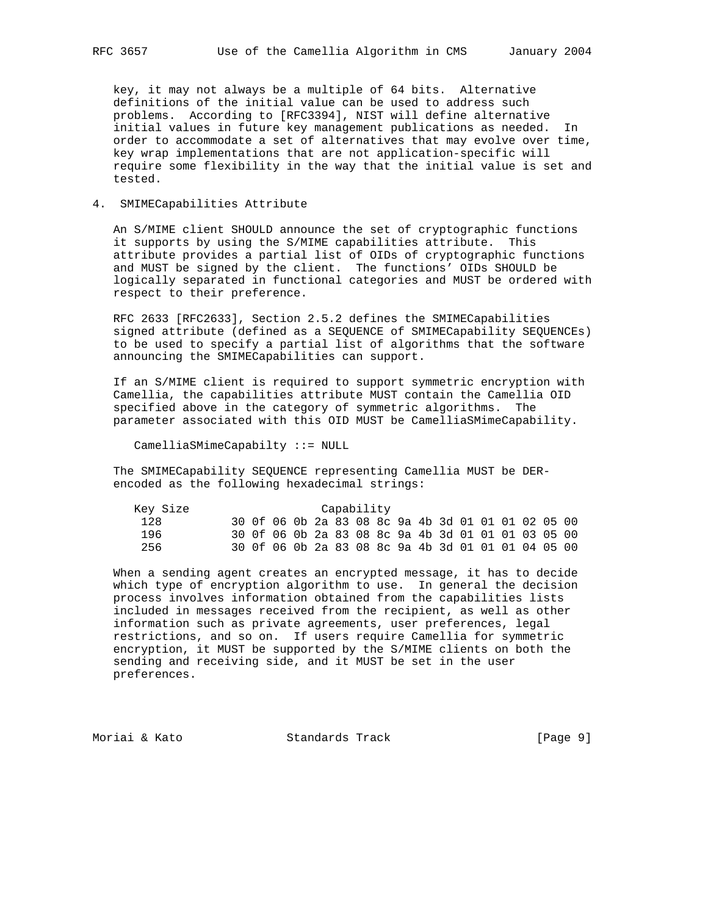key, it may not always be a multiple of 64 bits. Alternative definitions of the initial value can be used to address such problems. According to [RFC3394], NIST will define alternative initial values in future key management publications as needed. In order to accommodate a set of alternatives that may evolve over time, key wrap implementations that are not application-specific will require some flexibility in the way that the initial value is set and tested.

### 4. SMIMECapabilities Attribute

 An S/MIME client SHOULD announce the set of cryptographic functions it supports by using the S/MIME capabilities attribute. This attribute provides a partial list of OIDs of cryptographic functions and MUST be signed by the client. The functions' OIDs SHOULD be logically separated in functional categories and MUST be ordered with respect to their preference.

 RFC 2633 [RFC2633], Section 2.5.2 defines the SMIMECapabilities signed attribute (defined as a SEQUENCE of SMIMECapability SEQUENCEs) to be used to specify a partial list of algorithms that the software announcing the SMIMECapabilities can support.

 If an S/MIME client is required to support symmetric encryption with Camellia, the capabilities attribute MUST contain the Camellia OID specified above in the category of symmetric algorithms. The parameter associated with this OID MUST be CamelliaSMimeCapability.

CamelliaSMimeCapabilty ::= NULL

 The SMIMECapability SEQUENCE representing Camellia MUST be DER encoded as the following hexadecimal strings:

| Key Size | Capability |  |  |  |  |  |  |  |  |  |  |  |                                                    |  |  |
|----------|------------|--|--|--|--|--|--|--|--|--|--|--|----------------------------------------------------|--|--|
| 128      |            |  |  |  |  |  |  |  |  |  |  |  | 30 Of 06 Ob 2a 83 O8 8c 9a 4b 3d 01 01 01 02 05 00 |  |  |
| 196      |            |  |  |  |  |  |  |  |  |  |  |  | 30 Of 06 Ob 2a 83 O8 8c 9a 4b 3d 01 01 01 03 05 00 |  |  |
| 256      |            |  |  |  |  |  |  |  |  |  |  |  | 30 Of 06 Ob 2a 83 08 8c 9a 4b 3d 01 01 01 04 05 00 |  |  |

 When a sending agent creates an encrypted message, it has to decide which type of encryption algorithm to use. In general the decision process involves information obtained from the capabilities lists included in messages received from the recipient, as well as other information such as private agreements, user preferences, legal restrictions, and so on. If users require Camellia for symmetric encryption, it MUST be supported by the S/MIME clients on both the sending and receiving side, and it MUST be set in the user preferences.

Moriai & Kato  $S$ tandards Track  $[Page 9]$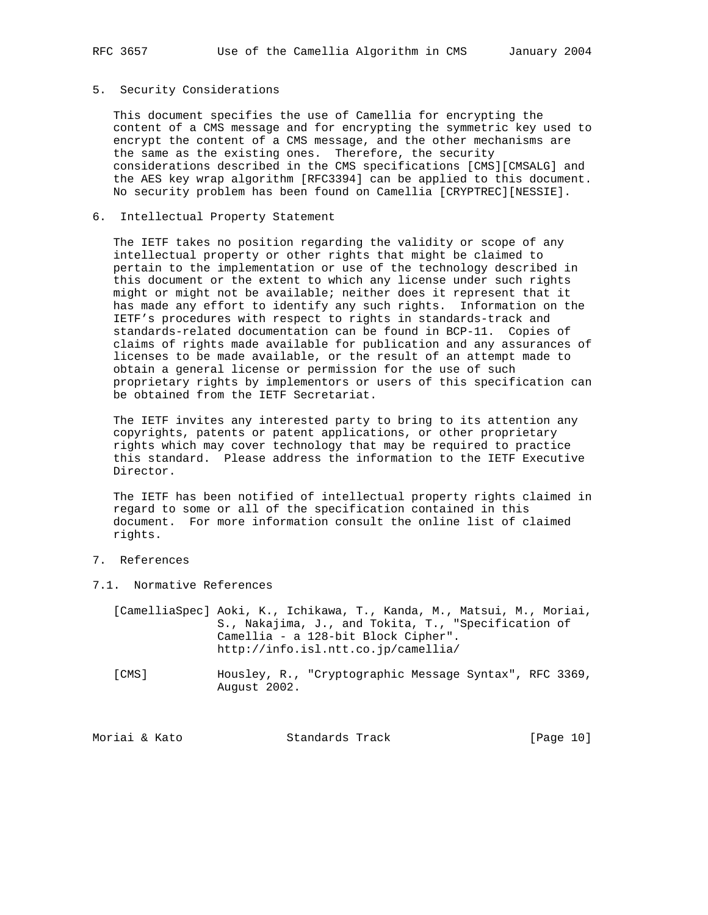### 5. Security Considerations

 This document specifies the use of Camellia for encrypting the content of a CMS message and for encrypting the symmetric key used to encrypt the content of a CMS message, and the other mechanisms are the same as the existing ones. Therefore, the security considerations described in the CMS specifications [CMS][CMSALG] and the AES key wrap algorithm [RFC3394] can be applied to this document. No security problem has been found on Camellia [CRYPTREC][NESSIE].

#### 6. Intellectual Property Statement

 The IETF takes no position regarding the validity or scope of any intellectual property or other rights that might be claimed to pertain to the implementation or use of the technology described in this document or the extent to which any license under such rights might or might not be available; neither does it represent that it has made any effort to identify any such rights. Information on the IETF's procedures with respect to rights in standards-track and standards-related documentation can be found in BCP-11. Copies of claims of rights made available for publication and any assurances of licenses to be made available, or the result of an attempt made to obtain a general license or permission for the use of such proprietary rights by implementors or users of this specification can be obtained from the IETF Secretariat.

 The IETF invites any interested party to bring to its attention any copyrights, patents or patent applications, or other proprietary rights which may cover technology that may be required to practice this standard. Please address the information to the IETF Executive Director.

 The IETF has been notified of intellectual property rights claimed in regard to some or all of the specification contained in this document. For more information consult the online list of claimed rights.

# 7. References

7.1. Normative References

|  | [CamelliaSpec] Aoki, K., Ichikawa, T., Kanda, M., Matsui, M., Moriai, |
|--|-----------------------------------------------------------------------|
|  | S., Nakajima, J., and Tokita, T., "Specification of                   |
|  | Camellia – a 128-bit Block Cipher".                                   |
|  | http://info.isl.ntt.co.jp/camellia/                                   |

 [CMS] Housley, R., "Cryptographic Message Syntax", RFC 3369, August 2002.

| Moriai & Kato | Standards Track | [Page 10] |  |
|---------------|-----------------|-----------|--|
|               |                 |           |  |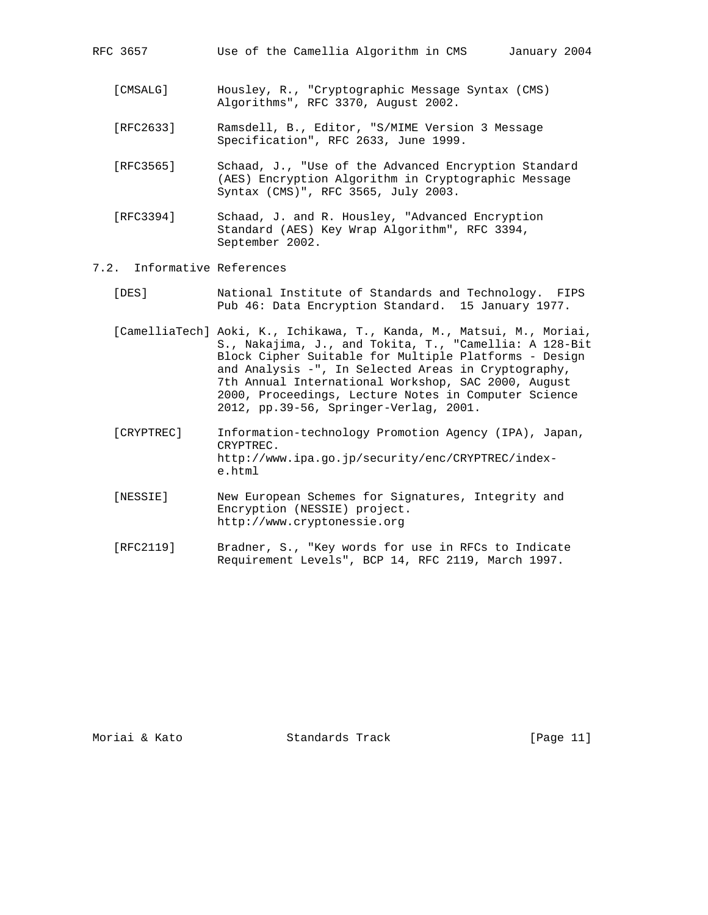|  | RFC 3657 |  |  |  |  | Use of the Camellia Algorithm in CMS |  |  | Jε |
|--|----------|--|--|--|--|--------------------------------------|--|--|----|
|--|----------|--|--|--|--|--------------------------------------|--|--|----|

- [CMSALG] Housley, R., "Cryptographic Message Syntax (CMS) Algorithms", RFC 3370, August 2002.
- [RFC2633] Ramsdell, B., Editor, "S/MIME Version 3 Message Specification", RFC 2633, June 1999.
- [RFC3565] Schaad, J., "Use of the Advanced Encryption Standard (AES) Encryption Algorithm in Cryptographic Message Syntax (CMS)", RFC 3565, July 2003.
- [RFC3394] Schaad, J. and R. Housley, "Advanced Encryption Standard (AES) Key Wrap Algorithm", RFC 3394, September 2002.
- 7.2. Informative References
	- [DES] National Institute of Standards and Technology. FIPS Pub 46: Data Encryption Standard. 15 January 1977.
	- [CamelliaTech] Aoki, K., Ichikawa, T., Kanda, M., Matsui, M., Moriai, S., Nakajima, J., and Tokita, T., "Camellia: A 128-Bit Block Cipher Suitable for Multiple Platforms - Design and Analysis -", In Selected Areas in Cryptography, 7th Annual International Workshop, SAC 2000, August 2000, Proceedings, Lecture Notes in Computer Science 2012, pp.39-56, Springer-Verlag, 2001.
	- [CRYPTREC] Information-technology Promotion Agency (IPA), Japan, CRYPTREC. http://www.ipa.go.jp/security/enc/CRYPTREC/index e.html
	- [NESSIE] New European Schemes for Signatures, Integrity and Encryption (NESSIE) project. http://www.cryptonessie.org
	- [RFC2119] Bradner, S., "Key words for use in RFCs to Indicate Requirement Levels", BCP 14, RFC 2119, March 1997.

Moriai & Kato Standards Track [Page 11]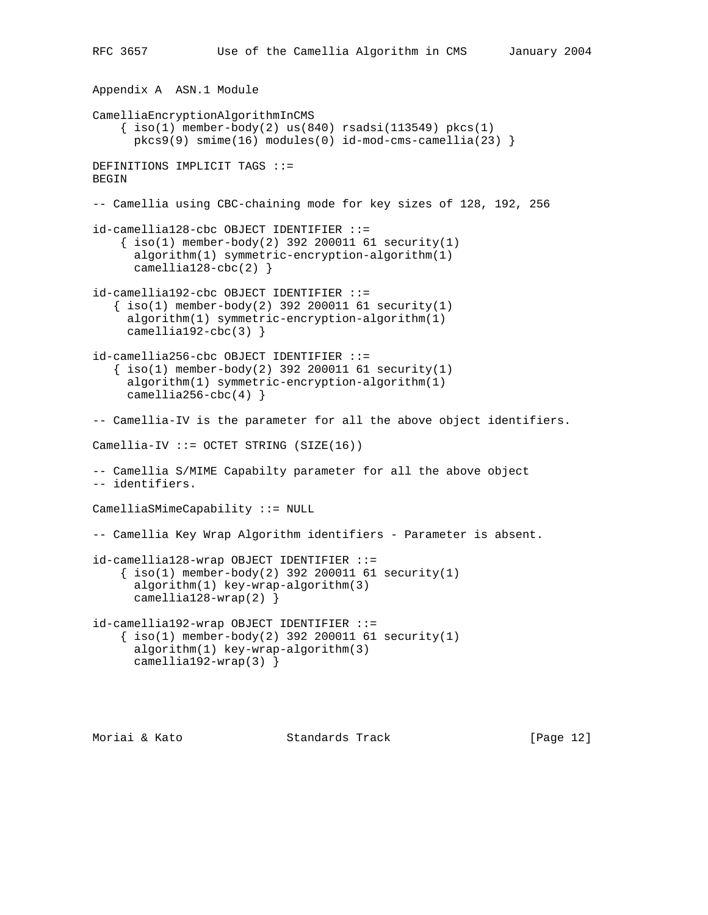```
Appendix A ASN.1 Module
CamelliaEncryptionAlgorithmInCMS
    \{ iso(1) member-body(2) us(840) rsadsi(113549) pkcs(1)
      pkcs9(9) smime(16) modules(0) id-mod-cms-camellia(23) }
DEFINITIONS IMPLICIT TAGS ::=
BEGIN
-- Camellia using CBC-chaining mode for key sizes of 128, 192, 256
id-camellia128-cbc OBJECT IDENTIFIER ::=
    \{ iso(1) member-body(2) 392 200011 61 security(1) algorithm(1) symmetric-encryption-algorithm(1)
      camellia128-cbc(2)}
id-camellia192-cbc OBJECT IDENTIFIER ::=
   \{ iso(1) member-body(2) 392 200011 61 security(1)
      algorithm(1) symmetric-encryption-algorithm(1)
     camellia192-cbc(3) \}id-camellia256-cbc OBJECT IDENTIFIER ::=
   \{ iso(1) member-body(2) 392 200011 61 security(1) algorithm(1) symmetric-encryption-algorithm(1)
     camellia256-cbc(4) }-- Camellia-IV is the parameter for all the above object identifiers.
Camellia-IV ::= OCTET STRING (SIZE(16))-- Camellia S/MIME Capabilty parameter for all the above object
-- identifiers.
CamelliaSMimeCapability ::= NULL
-- Camellia Key Wrap Algorithm identifiers - Parameter is absent.
id-camellia128-wrap OBJECT IDENTIFIER ::=
    \{ iso(1) member-body(2) 392 200011 61 security(1) algorithm(1) key-wrap-algorithm(3)
      camellia128-wrap(2) }
id-camellia192-wrap OBJECT IDENTIFIER ::=
    \{ \text{iso}(1) \text{ member-body}(2) \text{ 392 } 200011 \text{ 61 security}(1) \} algorithm(1) key-wrap-algorithm(3)
       camellia192-wrap(3) }
```
Moriai & Kato Standards Track [Page 12]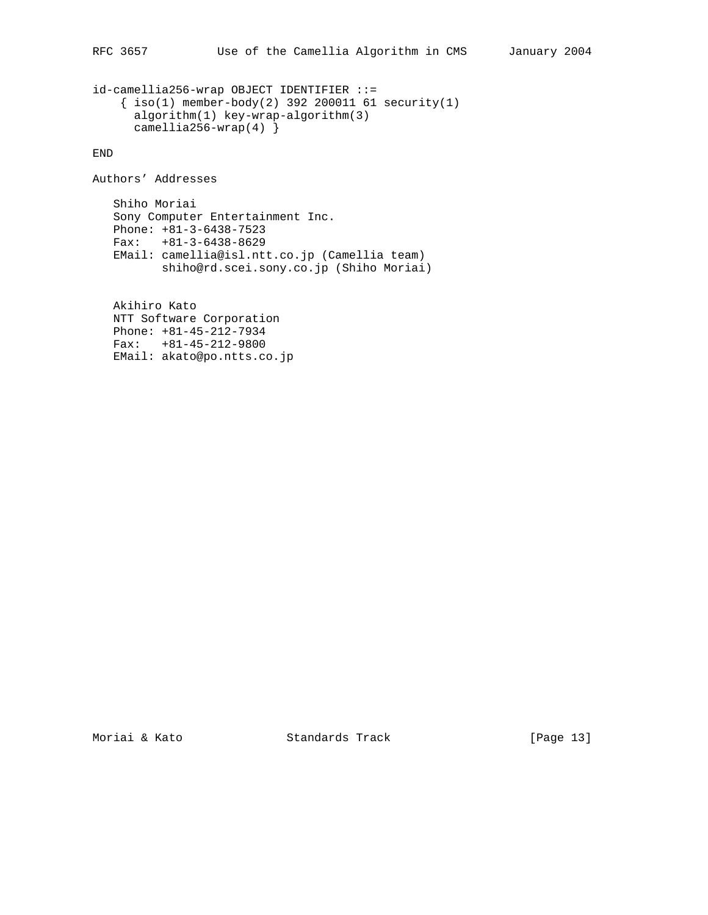```
id-camellia256-wrap OBJECT IDENTIFIER ::=
     { iso(1) member-body(2) 392 200011 61 security(1)
       algorithm(1) key-wrap-algorithm(3)
     camellia256-wrap(4) }
```
END

Authors' Addresses

 Shiho Moriai Sony Computer Entertainment Inc. Phone: +81-3-6438-7523 Fax: +81-3-6438-8629 EMail: camellia@isl.ntt.co.jp (Camellia team) shiho@rd.scei.sony.co.jp (Shiho Moriai)

 Akihiro Kato NTT Software Corporation Phone: +81-45-212-7934 Fax: +81-45-212-9800 EMail: akato@po.ntts.co.jp

Moriai & Kato Standards Track [Page 13]